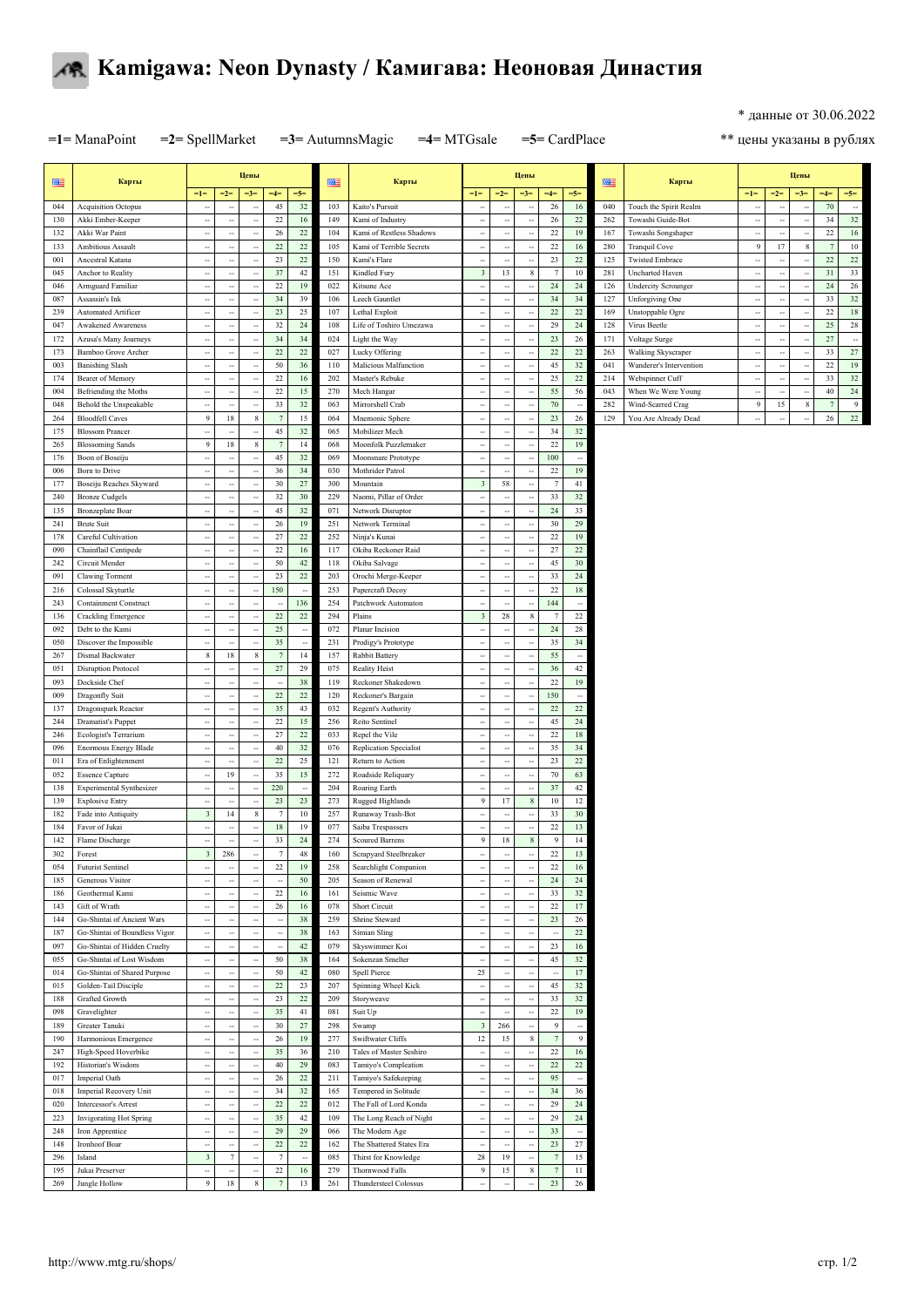

## **Kamigawa: Neon Dynasty / Камигава: Неоновая Династия**

\* данные от 30.06.2022

**=1=** ManaPoint **=2=** SpellMarket **=3=** AutumnsMagic **=4=** MTGsale **=5=** CardPlace

\*\* цены указаны в рублях

| 匷          | Карты                                                       |                                                      |                                                      | Цены                                                 |                            |                          | 匷          | Карты                                     |                                                  |                                                      | Цены                                             |                      |                                            | 匷          | Карты                                       |                                |                                                      | Цены                  |          |                          |
|------------|-------------------------------------------------------------|------------------------------------------------------|------------------------------------------------------|------------------------------------------------------|----------------------------|--------------------------|------------|-------------------------------------------|--------------------------------------------------|------------------------------------------------------|--------------------------------------------------|----------------------|--------------------------------------------|------------|---------------------------------------------|--------------------------------|------------------------------------------------------|-----------------------|----------|--------------------------|
|            |                                                             | $=1=$                                                | $=2=$                                                | $=3=$                                                | $=4=$                      | $=5=$<br>$32\,$          |            | Kaito's Pursuit                           | $=1=$                                            | $=2=$                                                | $=3=$                                            | $=4=$                | $=5=$                                      |            |                                             | $=1=$                          | $=2=$                                                | $=3=$                 | $=4=$    | $=5=$                    |
| 044<br>130 | <b>Acquisition Octopus</b><br>Akki Ember-Keeper             | $\ddotsc$<br>$\sim$                                  | $\overline{\phantom{a}}$<br>$\overline{\phantom{a}}$ | $\ddotsc$<br>$\sim$                                  | 45<br>22                   | 16                       | 103<br>149 | Kami of Industry                          | ٠.<br>$\sim$                                     | $\overline{\phantom{a}}$<br>$\ddot{\phantom{a}}$     | $\sim$                                           | 26<br>26             | 16<br>22                                   | 040<br>262 | Touch the Spirit Realm<br>Towashi Guide-Bot | ц,<br>$\sim$                   | $\overline{\phantom{a}}$<br>$\overline{\phantom{a}}$ | ÷<br>$\sim$           | 70<br>34 | $\sim$<br>$32\,$         |
| 132        | Akki War Paint                                              | $\overline{\phantom{a}}$                             | $\overline{\phantom{a}}$                             | ٠.                                                   | 26                         | 22                       | 104        | Kami of Restless Shadows                  | $\overline{\phantom{a}}$                         | $\overline{\phantom{a}}$                             | $\ddot{\phantom{a}}$                             | $22\,$               | 19                                         | 167        | Towashi Songshaper                          | $\overline{\phantom{a}}$       | $\overline{\phantom{a}}$                             | ÷                     | 22       | $16\,$                   |
| 133        | <b>Ambitious Assault</b>                                    | ÷.                                                   | $\ddot{\phantom{a}}$                                 | ä,                                                   | 22                         | $22\,$                   | 105        | Kami of Terrible Secrets                  | ÷.                                               | $\ddot{\phantom{a}}$                                 | à,                                               | 22                   | 16                                         | 280        | <b>Tranquil Cove</b>                        | $\boldsymbol{9}$               | 17                                                   | 8                     |          | $10\,$                   |
| 001        | Ancestral Katana                                            | $\ldots$                                             | $\ddot{\phantom{0}}$                                 | $\ddot{\phantom{a}}$                                 | 23                         | 22                       | 150        | Kami's Flare                              | $\overline{\phantom{a}}$                         | $\overline{\phantom{a}}$                             | $\overline{\phantom{a}}$                         | 23                   | $22\,$                                     | 125        | <b>Twisted Embrace</b>                      | $\overline{\phantom{a}}$       | $\frac{1}{2}$                                        |                       | 22       | $22\,$                   |
| 045        | Anchor to Reality                                           | $\overline{\phantom{a}}$                             | $\ddot{\phantom{a}}$                                 | $\overline{\phantom{a}}$                             | 37                         | $42\,$                   | 151        | Kindled Fury                              | $_{3}$                                           | 13                                                   | $\,$ 8 $\,$                                      | $\overline{7}$       | 10                                         | 281        | <b>Uncharted Haven</b>                      | $\overline{\phantom{a}}$       | $\sim$                                               | ÷.                    | 31       | 33                       |
| 046        | Armguard Familiar                                           | ۰.                                                   | $\overline{\phantom{a}}$                             | ÷                                                    | 22                         | 19                       | 022        | Kitsune Ace                               | ٠.                                               | $\overline{\phantom{a}}$                             |                                                  | 24                   | 24                                         | 126        | <b>Undercity Scrounger</b>                  | ٠.                             | $\overline{\phantom{a}}$                             |                       | 24       | $26\,$                   |
| 087<br>239 | Assassin's Ink<br>Automated Artificer                       | $\overline{\phantom{a}}$<br>$\ddot{\phantom{a}}$     | $\ldots$                                             | $\overline{\phantom{a}}$<br>$\ddot{\phantom{a}}$     | 34<br>23                   | 39<br>25                 | 106<br>107 | Leech Gauntlet<br>Lethal Exploit          | $\overline{\phantom{a}}$<br>$\ddot{\phantom{a}}$ | $\overline{\phantom{a}}$<br>$\overline{\phantom{a}}$ | $\overline{\phantom{a}}$<br>$\ddot{\phantom{a}}$ | 34<br>22             | 34<br>$22\,$                               | 127<br>169 | Unforgiving One                             | $\sim$<br>$\ddot{\phantom{a}}$ | $\overline{\phantom{a}}$                             | ÷<br>ч.               | 33<br>22 | $32\,$<br>$18\,$         |
| 047        | <b>Awakened Awareness</b>                                   | ۰.                                                   | $\overline{\phantom{a}}$<br>$\overline{\phantom{a}}$ | ÷,                                                   | 32                         | 24                       | 108        | Life of Toshiro Umezawa                   | н,                                               | $\overline{\phantom{a}}$                             | $\ddot{\phantom{a}}$                             | 29                   | 24                                         | 128        | Unstoppable Ogre<br>Virus Beetle            | ۰.                             | $\overline{\phantom{a}}$<br>$\overline{\phantom{a}}$ |                       | 25       | $\sqrt{28}$              |
| 172        | Azusa's Many Journeys                                       | $\overline{\phantom{a}}$                             | $\ddot{\phantom{0}}$                                 | $\overline{\phantom{a}}$                             | 34                         | 34                       | 024        | Light the Way                             | $\overline{\phantom{a}}$                         | $\cdots$                                             | $\overline{\phantom{a}}$                         | 23                   | 26                                         | 171        | Voltage Surge                               | $\overline{\phantom{a}}$       | $\overline{\phantom{a}}$                             | ÷.                    | 27       | $\sim$                   |
| 173        | Bamboo Grove Archer                                         | $\overline{\phantom{a}}$                             | $\ddot{\phantom{a}}$                                 | $\overline{\phantom{a}}$                             | 22                         | $22\,$                   | 027        | Lucky Offering                            | $\overline{\phantom{a}}$                         | $\overline{\phantom{a}}$                             | $\ddot{\phantom{a}}$                             | 22                   | $22\,$                                     | 263        | Walking Skyscraper                          | $\overline{\phantom{a}}$       | $\overline{\phantom{a}}$                             | $\ddot{\phantom{0}}$  | 33       | $27\,$                   |
| 003        | <b>Banishing Slash</b>                                      | ٠.                                                   | $\overline{\phantom{a}}$                             | ÷,                                                   | 50                         | 36                       | 110        | Malicious Malfunction                     | $\ddot{\phantom{a}}$                             | $\overline{\phantom{a}}$                             | $\ddot{\phantom{a}}$                             | 45                   | 32                                         | 041        | Wanderer's Intervention                     | $\overline{\phantom{a}}$       | $\overline{\phantom{a}}$                             |                       | 22       | 19                       |
| 174        | Bearer of Memory                                            | $\overline{\phantom{a}}$                             | $\overline{\phantom{a}}$                             | ٠.                                                   | 22                         | $16\,$                   | 202        | Master's Rebuke                           | $\ddot{\phantom{a}}$                             | $\overline{\phantom{a}}$                             | ۰.                                               | 25                   | $22\,$                                     | 214        | Webspinner Cuff                             | $\overline{\phantom{a}}$       | $\overline{\phantom{a}}$                             | ÷                     | 33       | $32\,$                   |
| 004        | Befriending the Moths                                       | $\overline{\phantom{a}}$                             | $\overline{\phantom{a}}$                             | $\overline{\phantom{a}}$                             | 22                         | 15<br>32                 | 270        | Mech Hangar                               | $\overline{\phantom{a}}$                         | $\overline{\phantom{a}}$                             | $\overline{\phantom{a}}$                         | 55                   | 56                                         | 043        | When We Were Young                          | $\overline{\phantom{a}}$       | $\overline{\phantom{a}}$                             | $\ddot{\phantom{0}}$  | 40       | $24\,$<br>$\overline{9}$ |
| 048<br>264 | Behold the Unspeakable<br><b>Bloodfell Caves</b>            | $\overline{\phantom{a}}$<br>$\boldsymbol{9}$         | $\overline{\phantom{a}}$<br>$18\,$                   | ÷,<br>$\,$ 8 $\,$                                    | 33<br>$\overline{7}$       | 15                       | 063<br>064 | Mirrorshell Crab<br>Mnemonic Sphere       | ٠.<br>$\overline{\phantom{a}}$                   | $\overline{\phantom{a}}$<br>$\overline{\phantom{a}}$ | $\ddot{\phantom{a}}$<br>$\overline{\phantom{a}}$ | 70<br>23             | $\overline{\phantom{a}}$<br>26             | 282<br>129 | Wind-Scarred Crag<br>You Are Already Dead   | 9<br>$\overline{\phantom{a}}$  | 15<br>$\ddot{\phantom{a}}$                           | $\,$ 8 $\,$<br>$\sim$ | 26       | $22\,$                   |
| 175        | <b>Blossom Prancer</b>                                      | $\overline{\phantom{a}}$                             | $\ddot{\phantom{a}}$                                 | $\ddot{\phantom{a}}$                                 | 45                         | 32                       | 065        | Mobilizer Mech                            | $\overline{\phantom{a}}$                         | $\overline{\phantom{a}}$                             | $\overline{\phantom{a}}$                         | 34                   | 32                                         |            |                                             |                                |                                                      |                       |          |                          |
| 265        | <b>Blossoming Sands</b>                                     | 9                                                    | 18                                                   | 8                                                    | $\overline{7}$             | 14                       | 068        | Moonfolk Puzzlemaker                      | --                                               | $\ddot{\phantom{a}}$                                 |                                                  | 22                   | 19                                         |            |                                             |                                |                                                      |                       |          |                          |
| 176        | Boon of Boseiju                                             | $\overline{\phantom{a}}$                             | $\overline{\phantom{a}}$                             | ٠.                                                   | 45                         | $32\,$                   | 069        | Moonsnare Prototype                       | $\overline{\phantom{a}}$                         | $\overline{\phantom{a}}$                             | $\ddotsc$                                        | 100                  | $\ddot{\phantom{a}}$                       |            |                                             |                                |                                                      |                       |          |                          |
| 006        | Born to Drive                                               | $\ddot{\phantom{a}}$                                 | $\overline{\phantom{a}}$                             | $\overline{\phantom{a}}$                             | 36                         | 34                       | 030        | Mothrider Patrol                          | $\overline{\phantom{a}}$                         | $\overline{\phantom{a}}$                             | $\overline{\phantom{a}}$                         | 22                   | 19                                         |            |                                             |                                |                                                      |                       |          |                          |
| 177        | Boseiju Reaches Skyward                                     | $\overline{\phantom{a}}$                             | $\overline{\phantom{a}}$                             | ÷,                                                   | 30                         | 27                       | 300        | Mountain                                  | $\sqrt{3}$                                       | 58                                                   |                                                  |                      | 41                                         |            |                                             |                                |                                                      |                       |          |                          |
| 240        | <b>Bronze Cudgels</b><br><b>Bronzeplate Boar</b>            | $\overline{\phantom{a}}$<br>٠.                       | $\overline{\phantom{a}}$                             | $\overline{\phantom{a}}$<br>$\ddot{\phantom{a}}$     | 32<br>45                   | 30<br>32                 | 229<br>071 | Naomi, Pillar of Order                    | $\overline{\phantom{a}}$<br>$\ddot{\phantom{a}}$ | $\overline{\phantom{a}}$<br>$\ddot{\phantom{a}}$     | ÷.                                               | 33<br>24             | 32<br>33                                   |            |                                             |                                |                                                      |                       |          |                          |
| 135<br>241 | <b>Brute Suit</b>                                           | ٠.                                                   | $\overline{\phantom{a}}$<br>$\overline{\phantom{a}}$ | $\ddot{\phantom{a}}$                                 | 26                         | 19                       | 251        | Network Disruptor<br>Network Terminal     | $\ddot{\phantom{a}}$                             | $\overline{\phantom{a}}$                             | ٠.<br>$\ddot{\phantom{a}}$                       | 30                   | 29                                         |            |                                             |                                |                                                      |                       |          |                          |
| 178        | Careful Cultivation                                         | $\overline{\phantom{a}}$                             | $\overline{\phantom{a}}$                             | ٠.                                                   | 27                         | $22\,$                   | 252        | Ninja's Kunai                             | $\ddotsc$                                        | $\ddotsc$                                            | ۰.                                               | $22\,$               | 19                                         |            |                                             |                                |                                                      |                       |          |                          |
| 090        | Chainflail Centipede                                        | $\overline{\phantom{a}}$                             | $\ddot{\phantom{a}}$                                 | $\overline{\phantom{a}}$                             | 22                         | 16                       | 117        | Okiba Reckoner Raid                       | $\overline{\phantom{a}}$                         | $\ldots$                                             | $\overline{\phantom{a}}$                         | 27                   | 22                                         |            |                                             |                                |                                                      |                       |          |                          |
| 242        | Circuit Mender                                              | $\overline{\phantom{a}}$                             | $\overline{\phantom{a}}$                             | $\ddot{\phantom{a}}$                                 | 50                         | 42                       | 118        | Okiba Salvage                             | $\ddot{\phantom{a}}$                             | $\overline{\phantom{a}}$                             | $\ddot{\phantom{a}}$                             | 45                   | 30                                         |            |                                             |                                |                                                      |                       |          |                          |
| 091        | Clawing Torment                                             | $\overline{\phantom{a}}$                             | $\ddot{\phantom{a}}$                                 | $\overline{\phantom{a}}$                             | 23                         | 22                       | 203        | Orochi Merge-Keeper                       | $\overline{\phantom{a}}$                         | $\overline{\phantom{a}}$                             |                                                  | 33                   | 24                                         |            |                                             |                                |                                                      |                       |          |                          |
| 216        | Colossal Skyturtle                                          | $\sim$                                               | $\ddot{\phantom{a}}$                                 | $\ddot{\phantom{a}}$                                 | 150                        | $\overline{\phantom{a}}$ | 253        | Papercraft Decoy                          | $\ddot{\phantom{a}}$                             | $\overline{\phantom{a}}$                             | $\ddot{\phantom{a}}$                             | 22                   | 18                                         |            |                                             |                                |                                                      |                       |          |                          |
| 243        | <b>Containment Construct</b>                                | ٠.                                                   | $\ddot{\phantom{a}}$                                 | ÷,                                                   | 22                         | 136<br>$22\,$            | 254<br>294 | Patchwork Automaton                       | $\ddot{\phantom{a}}$<br>$\sqrt{3}$               | $\ddot{\phantom{a}}$<br>$\sqrt{28}$                  |                                                  | 144                  | $\ddot{\phantom{a}}$<br>$22\,$             |            |                                             |                                |                                                      |                       |          |                          |
| 136<br>092 | Crackling Emergence<br>Debt to the Kami                     | <br>$\overline{\phantom{a}}$                         | $\overline{\phantom{a}}$<br>$\overline{\phantom{a}}$ | $\overline{\phantom{a}}$<br>$\overline{\phantom{a}}$ | 25                         | $\sim$                   | 072        | Plains<br>Planar Incision                 | $\overline{\phantom{a}}$                         | $\overline{\phantom{a}}$                             | $\,$ 8 $\,$<br>$\ddot{\phantom{a}}$              | 7<br>24              | 28                                         |            |                                             |                                |                                                      |                       |          |                          |
| 050        | Discover the Impossible                                     | $\overline{\phantom{a}}$                             | $\ddot{\phantom{a}}$                                 | ÷,                                                   | 35                         | $\overline{\phantom{a}}$ | 231        | Prodigy's Prototype                       | $\ddot{\phantom{a}}$                             | $\overline{\phantom{a}}$                             |                                                  | 35                   | 34                                         |            |                                             |                                |                                                      |                       |          |                          |
| 267        | Dismal Backwater                                            | $\,$ 8 $\,$                                          | $18\,$                                               | $\,$ 8 $\,$                                          | $\overline{7}$             | 14                       | 157        | Rabbit Battery                            | $\overline{\phantom{a}}$                         | $\ddot{\phantom{a}}$                                 | $\overline{\phantom{a}}$                         | 55                   | ÷.                                         |            |                                             |                                |                                                      |                       |          |                          |
| 051        | <b>Disruption Protocol</b>                                  | ٠.                                                   | $\ddot{\phantom{a}}$                                 | ÷.                                                   | 27                         | 29                       | 075        | <b>Reality Heist</b>                      | $\overline{\phantom{a}}$                         | $\ddot{\phantom{a}}$                                 | н,                                               | 36                   | 42                                         |            |                                             |                                |                                                      |                       |          |                          |
| 093        | Dockside Chef                                               | $\overline{\phantom{a}}$                             | $\overline{\phantom{a}}$                             | $\ddot{\phantom{a}}$                                 | $\ddot{\phantom{0}}$       | 38                       | 119        | Reckoner Shakedown                        | $\ddot{\phantom{a}}$                             | $\overline{\phantom{a}}$                             | $\ddot{\phantom{a}}$                             | 22                   | 19                                         |            |                                             |                                |                                                      |                       |          |                          |
| 009        | Dragonfly Suit                                              | $\overline{\phantom{a}}$                             | $\overline{\phantom{a}}$                             | ٠.                                                   | 22                         | $22\,$                   | 120        | Reckoner's Bargain                        | $\ddot{\phantom{a}}$                             | $\overline{\phantom{a}}$                             | $\ddot{\phantom{a}}$                             | 150                  | н,                                         |            |                                             |                                |                                                      |                       |          |                          |
| 137<br>244 | Dragonspark Reactor<br>Dramatist's Puppet                   | $\overline{\phantom{a}}$<br>$\ddot{\phantom{a}}$     | $\overline{\phantom{a}}$<br>$\ddot{\phantom{a}}$     | $\overline{\phantom{a}}$<br>$\overline{\phantom{a}}$ | 35<br>22                   | 43<br>15                 | 032<br>256 | Regent's Authority<br>Reito Sentinel      | $\overline{\phantom{a}}$<br>$\ddot{\phantom{a}}$ | $\overline{\phantom{a}}$<br>$\overline{\phantom{a}}$ | $\overline{\phantom{a}}$<br>à,                   | 22<br>45             | 22<br>24                                   |            |                                             |                                |                                                      |                       |          |                          |
| 246        | Ecologist's Terrarium                                       | $\overline{\phantom{a}}$                             | $\ddot{\phantom{a}}$                                 | ä,                                                   | 27                         | $22\,$                   | 033        | Repel the Vile                            |                                                  | $\ddot{\phantom{a}}$                                 |                                                  | 22                   | $18\,$                                     |            |                                             |                                |                                                      |                       |          |                          |
| 096        | Enormous Energy Blade                                       | $\overline{\phantom{a}}$                             | $\overline{\phantom{a}}$                             | $\ddot{\phantom{a}}$                                 | 40                         | 32                       | 076        | Replication Specialist                    | $\sim$                                           | $\overline{\phantom{a}}$                             | $\ddot{\phantom{a}}$                             | 35                   | 34                                         |            |                                             |                                |                                                      |                       |          |                          |
| 011        | Era of Enlightenment                                        | ٠.                                                   | $\overline{\phantom{a}}$                             | $\ddot{\phantom{0}}$                                 | 22                         | 25                       | 121        | Return to Action                          | $\ddot{\phantom{a}}$                             | $\overline{\phantom{a}}$                             | $\ddot{\phantom{a}}$                             | 23                   | $22\,$                                     |            |                                             |                                |                                                      |                       |          |                          |
| 052        | <b>Essence Capture</b>                                      |                                                      | 19                                                   | $\ddot{\phantom{a}}$                                 | 35                         | 15                       | 272        | Roadside Reliquary                        | $\sim$                                           | $\overline{\phantom{a}}$                             | $\ddot{\phantom{a}}$                             | 70                   | 63                                         |            |                                             |                                |                                                      |                       |          |                          |
| 138        | <b>Experimental Synthesizer</b>                             | ٠.                                                   | $\overline{\phantom{a}}$                             | $\sim$                                               | 220                        | - -                      | 204        | Roaring Earth                             | $\overline{\phantom{a}}$                         | $\overline{\phantom{a}}$                             | $\ddot{\phantom{a}}$                             | 37                   | 42                                         |            |                                             |                                |                                                      |                       |          |                          |
| 139        | <b>Explosive Entry</b>                                      | $\overline{\phantom{a}}$                             | $\ddot{\phantom{a}}$<br>$14$                         | ÷,                                                   | 23                         | 23                       | 273        | Rugged Highlands                          | 9                                                | 17                                                   | $\,$ 8 $\,$                                      | 10                   | 12<br>30                                   |            |                                             |                                |                                                      |                       |          |                          |
| 182<br>184 | Fade into Antiquity<br>Favor of Jukai                       | $\ensuremath{\mathfrak{Z}}$<br>$\sim$                | $\ddot{\phantom{a}}$                                 | $\,$ 8 $\,$<br>÷.                                    | 18                         | $10\,$<br>19             | 257<br>077 | Runaway Trash-Bot<br>Saiba Trespassers    | н,<br>$\sim$                                     | ÷,<br>н,                                             | $\sim$                                           | 33<br>22             | 13                                         |            |                                             |                                |                                                      |                       |          |                          |
| 142        | Flame Discharge                                             | $\overline{\phantom{a}}$                             | $\overline{\phantom{a}}$                             | ÷,                                                   | 33                         | 24                       | 274        | <b>Scoured Barrens</b>                    | 9                                                | 18                                                   | $\,$ 8 $\,$                                      | 9                    | 14                                         |            |                                             |                                |                                                      |                       |          |                          |
| 302        | Forest                                                      | 3                                                    | 286                                                  |                                                      |                            | 48                       | 160        | Scrapyard Steelbreaker                    | $\ddot{\phantom{a}}$                             | н,                                                   |                                                  | 22                   | 13                                         |            |                                             |                                |                                                      |                       |          |                          |
| 054        | <b>Futurist Sentinel</b>                                    | $\overline{\phantom{a}}$                             | $\overline{\phantom{a}}$                             | $\overline{\phantom{a}}$                             | 22                         | 19                       | 258        | Searchlight Companion                     | $\overline{\phantom{a}}$                         | $\overline{\phantom{a}}$                             | $\overline{\phantom{a}}$                         | $22\,$               | 16                                         |            |                                             |                                |                                                      |                       |          |                          |
| 185        | Generous Visitor                                            | $\overline{\phantom{a}}$                             | $\overline{\phantom{a}}$                             | $\sim$                                               | $\ddot{\phantom{a}}$       | $50\,$                   | 205        | Season of Renewal                         | $\ddot{\phantom{a}}$                             | $\overline{\phantom{a}}$                             | $\overline{\phantom{a}}$                         | 24                   | $24\,$                                     |            |                                             |                                |                                                      |                       |          |                          |
| 186        | Geothermal Kami                                             | $\overline{\phantom{a}}$                             | $\ddot{\phantom{0}}$                                 | $\overline{\phantom{a}}$                             | 22                         | $16\,$                   | 161        | Seismic Wave                              |                                                  | $\cdots$                                             |                                                  | 33                   | $32\,$                                     |            |                                             |                                |                                                      |                       |          |                          |
| 143<br>144 | Gift of Wrath                                               | $\overline{\phantom{a}}$<br>$\overline{\phantom{a}}$ | $\overline{\phantom{a}}$<br>$\overline{\phantom{a}}$ | $\ddot{\phantom{a}}$<br>$\ddot{\phantom{a}}$         | 26<br>$\ddot{\phantom{0}}$ | 16<br>38                 | 078<br>259 | <b>Short Circuit</b><br>Shrine Steward    | $\sim$<br>$\sim$                                 | $\overline{\phantom{a}}$<br>$\ddot{\phantom{a}}$     | $\ddot{\phantom{a}}$                             | $22\,$<br>23         | 17<br>26                                   |            |                                             |                                |                                                      |                       |          |                          |
| 187        | Go-Shintai of Ancient Wars<br>Go-Shintai of Boundless Vigor | ٠.                                                   | $\ldots$                                             | $\overline{\phantom{a}}$                             | ٠.                         | 38                       | 163        | Simian Sling                              | $\ddot{\phantom{a}}$                             | $\overline{\phantom{a}}$                             | $\ddot{\phantom{a}}$                             | $\ddot{\phantom{a}}$ | 22                                         |            |                                             |                                |                                                      |                       |          |                          |
| 097        | Go-Shintai of Hidden Cruelty                                | ٠.                                                   | $\overline{\phantom{a}}$                             | ٠.                                                   | $\overline{\phantom{a}}$   | $42\,$                   | 079        | Skyswimmer Koi                            | $\ddot{\phantom{a}}$                             | $\overline{\phantom{a}}$                             | $\ddot{\phantom{a}}$                             | 23                   | 16                                         |            |                                             |                                |                                                      |                       |          |                          |
| 055        | Go-Shintai of Lost Wisdom                                   | $\ldots$                                             | $\overline{\phantom{a}}$                             | $\overline{\phantom{a}}$                             | 50                         | 38                       | 164        | Sokenzan Smelter                          | $\sim$                                           | $\overline{\phantom{a}}$                             |                                                  | 45                   | 32                                         |            |                                             |                                |                                                      |                       |          |                          |
| 014        | Go-Shintai of Shared Purpose                                | ٠.                                                   | $\ddot{\phantom{0}}$                                 | $\ddot{\phantom{a}}$                                 | 50                         | 42                       | 080        | Spell Pierce                              | 25                                               | $\overline{\phantom{a}}$                             |                                                  |                      | 17                                         |            |                                             |                                |                                                      |                       |          |                          |
| 015        | Golden-Tail Disciple                                        | ۰.                                                   | $\overline{\phantom{a}}$                             | $\ddot{\phantom{a}}$                                 | 22                         | 23                       | 207        | Spinning Wheel Kick                       | $\sim$                                           | $\overline{\phantom{a}}$                             | ÷.                                               | 45                   | $32\,$                                     |            |                                             |                                |                                                      |                       |          |                          |
| 188        | Grafted Growth                                              | $\overline{\phantom{a}}$                             | $\ldots$                                             | $\overline{\phantom{a}}$                             | 23                         | 22                       | 209        | Storyweave                                | $\overline{\phantom{a}}$                         | $\overline{\phantom{a}}$                             | $\ddot{\phantom{a}}$                             | 33                   | 32                                         |            |                                             |                                |                                                      |                       |          |                          |
| 098<br>189 | Gravelighter<br>Greater Tanuki                              | ٠.<br>$\overline{\phantom{a}}$                       | $\overline{\phantom{a}}$<br>$\overline{\phantom{a}}$ | $\ddot{\phantom{a}}$<br>$\overline{\phantom{a}}$     | 35<br>30                   | 41<br>27                 | 081<br>298 | Suit Up<br>Swamp                          | $\ddot{\phantom{a}}$<br>$\sqrt{3}$               | $\overline{\phantom{a}}$<br>266                      | $\ddot{\phantom{a}}$<br>$\overline{\phantom{a}}$ | $22\,$<br>9          | 19                                         |            |                                             |                                |                                                      |                       |          |                          |
| 190        | Harmonious Emergence                                        | $\sim$                                               | $\overline{\phantom{a}}$                             | $\ddot{\phantom{a}}$                                 | 26                         | 19                       | 277        | Swiftwater Cliffs                         | 12                                               | 15                                                   | 8                                                | 7                    | $\overline{\phantom{a}}$<br>$\overline{9}$ |            |                                             |                                |                                                      |                       |          |                          |
| 247        | High-Speed Hoverbike                                        | ۰.                                                   | $\ddot{\phantom{0}}$                                 | ÷,                                                   | 35                         | 36                       | 210        | Tales of Master Seshiro                   | н,                                               | $\overline{\phantom{a}}$                             |                                                  | 22                   | $16\,$                                     |            |                                             |                                |                                                      |                       |          |                          |
| 192        | Historian's Wisdom                                          | $\overline{\phantom{a}}$                             | $\overline{\phantom{a}}$                             | $\overline{\phantom{a}}$                             | 40                         | 29                       | 083        | Tamiyo's Compleation                      | $\ddot{\phantom{a}}$                             | $\overline{\phantom{a}}$                             | $\sim$                                           | 22                   | $22\,$                                     |            |                                             |                                |                                                      |                       |          |                          |
| 017        | Imperial Oath                                               | ٠.                                                   | $\ddot{\phantom{a}}$                                 | $\ddot{\phantom{a}}$                                 | 26                         | 22                       | 211        | Tamiyo's Safekeeping                      | $\ddot{\phantom{a}}$                             | $\ddot{\phantom{a}}$                                 | $\ddot{\phantom{a}}$                             | 95                   | $\sim$                                     |            |                                             |                                |                                                      |                       |          |                          |
| 018        | Imperial Recovery Unit                                      | ۰.                                                   | $\ldots$                                             | $\overline{\phantom{a}}$                             | 34                         | 32                       | 165        | Tempered in Solitude                      | $\ddot{\phantom{a}}$                             | $\overline{\phantom{a}}$                             | $\overline{\phantom{a}}$                         | 34                   | 36                                         |            |                                             |                                |                                                      |                       |          |                          |
| 020        | Intercessor's Arrest                                        | $\sim$                                               | $\overline{\phantom{a}}$                             | $\ddot{\phantom{a}}$                                 | 22                         | 22                       | 012        | The Fall of Lord Konda                    | $\ddot{\phantom{a}}$                             | $\overline{\phantom{a}}$                             | $\ddot{\phantom{a}}$                             | 29                   | $24\,$                                     |            |                                             |                                |                                                      |                       |          |                          |
| 223<br>248 | <b>Invigorating Hot Spring</b><br>Iron Apprentice           | $\ldots$<br>٠.                                       | $\overline{\phantom{a}}$<br>$\ddot{\phantom{0}}$     | $\overline{\phantom{a}}$<br>$\ddot{\phantom{a}}$     | 35<br>29                   | 42<br>29                 | 109<br>066 | The Long Reach of Night<br>The Modern Age | $\overline{\phantom{a}}$<br>$\ddot{\phantom{a}}$ | $\overline{\phantom{a}}$<br>$\ddot{\phantom{a}}$     | $\overline{\phantom{a}}$                         | 29<br>33             | 24<br>$\overline{\phantom{a}}$             |            |                                             |                                |                                                      |                       |          |                          |
| 148        | <b>Ironhoof Boar</b>                                        | $\overline{\phantom{a}}$                             | $\overline{\phantom{a}}$                             | $\ddot{\phantom{a}}$                                 | 22                         | $22\,$                   | 162        | The Shattered States Era                  | $\overline{\phantom{a}}$                         | $\overline{\phantom{a}}$                             | $\ddot{\phantom{a}}$                             | 23                   | $27\,$                                     |            |                                             |                                |                                                      |                       |          |                          |
| 296        | Island                                                      | $_{\rm 3}$                                           | $7\phantom{.0}$                                      | $\overline{\phantom{a}}$                             | $\overline{7}$             | $\sim$                   | 085        | Thirst for Knowledge                      | 28                                               | 19                                                   | $\ddot{\phantom{a}}$                             | 7                    | 15                                         |            |                                             |                                |                                                      |                       |          |                          |
| 195        | Jukai Preserver                                             | ٠.                                                   | н,                                                   | ÷                                                    | 22                         | 16                       | 279        | Thornwood Falls                           | 9                                                | 15                                                   | 8                                                | $\overline{7}$       | 11                                         |            |                                             |                                |                                                      |                       |          |                          |
| 269        | Jungle Hollow                                               | $\boldsymbol{9}$                                     | $18\,$                                               | $\,$ 8 $\,$                                          | $\tau$                     | 13                       | 261        | Thundersteel Colossus                     | $\overline{\phantom{a}}$                         | $\ldots$                                             | $\ddot{\phantom{a}}$                             | $23\,$               | 26                                         |            |                                             |                                |                                                      |                       |          |                          |